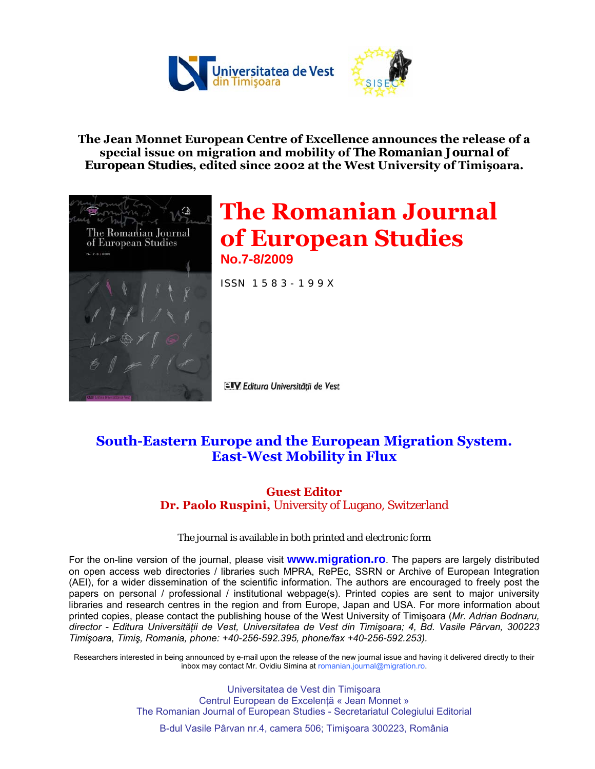

**The Jean Monnet European Centre of Excellence announces the release of a special issue on migration and mobility of** *The Romanian Journal of European Studies***, edited since 2002 at the West University of Timişoara.** 



# **The Romanian Journal of European Studies No.7-8/2009**

ISSN 1 5 8 3 - 1 9 9 X

ElV Editura Universității de Vest

### **South-Eastern Europe and the European Migration System. East-West Mobility in Flux**

#### **Guest Editor Dr. Paolo Ruspini,** University of Lugano, Switzerland

#### The journal is available in both printed and electronic form

For the on-line version of the journal, please visit **www.migration.ro**. The papers are largely distributed on open access web directories / libraries such MPRA, RePEc, SSRN or Archive of European Integration (AEI), for a wider dissemination of the scientific information. The authors are encouraged to freely post the papers on personal / professional / institutional webpage(s). Printed copies are sent to major university libraries and research centres in the region and from Europe, Japan and USA. For more information about printed copies, please contact the publishing house of the West University of Timişoara (*Mr. Adrian Bodnaru, director - Editura Universităţii de Vest, Universitatea de Vest din Timişoara; 4, Bd. Vasile Pârvan, 300223 Timişoara, Timiş, Romania, phone: +40-256-592.395, phone/fax +40-256-592.253).*

Researchers interested in being announced by e-mail upon the release of the new journal issue and having it delivered directly to their inbox may contact Mr. Ovidiu Simina at romanian.journal@migration.ro.

> Universitatea de Vest din Timişoara Centrul European de Excelenţă « Jean Monnet » The Romanian Journal of European Studies - Secretariatul Colegiului Editorial

B-dul Vasile Pârvan nr.4, camera 506; Timişoara 300223, România